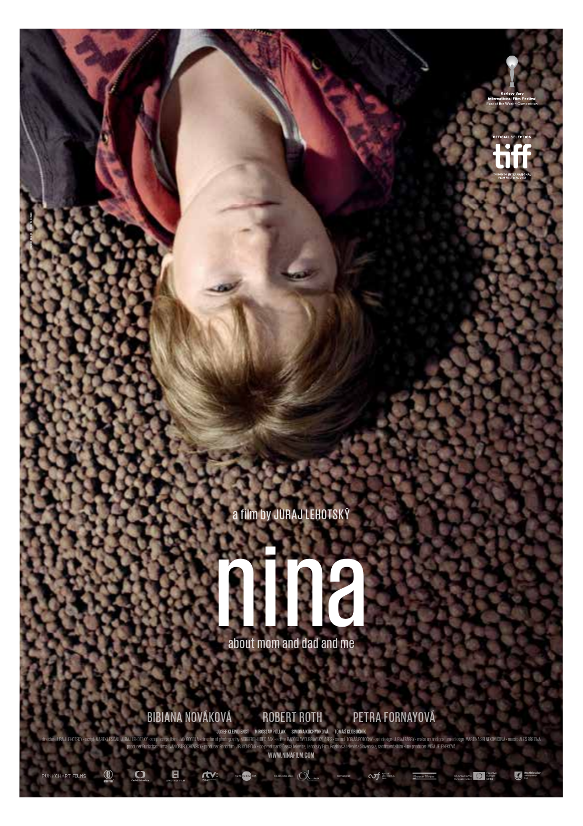

graphic design: © Martin Derner



about mom and dad and me

BiBiana nováková RoBeRt Roth PetRa FoRnayová

G I

rtv

International Sales Supported by: The Supported by

drector-UTPAN LEHDTSKY - script-MARPALESCAK\_JLPAJLEHDTSKY - script computant\_JAV.BOGDLA - drector of photogophy-MCRBERTHLDEC, ASK - ecotor RADOSLAY DURANSKY, ASKS - sound: TOBAS POTOCNY - set design-URALPARPY - make up and producer Punkchart films: IVAN OSTROCHOVSkݕ producer Endorfilm: Jiří KONEČNÝ • co-producers: Česká televize, Lehotský Film, Rozhlasatelevízia Slovenska, sentimentalfilm • line producer: Miša JELENEKOVÁ **www.ninafilm.com Josef Kleindienst Miroslav PollaK siMona KuchynKová toMáš KlobučníK**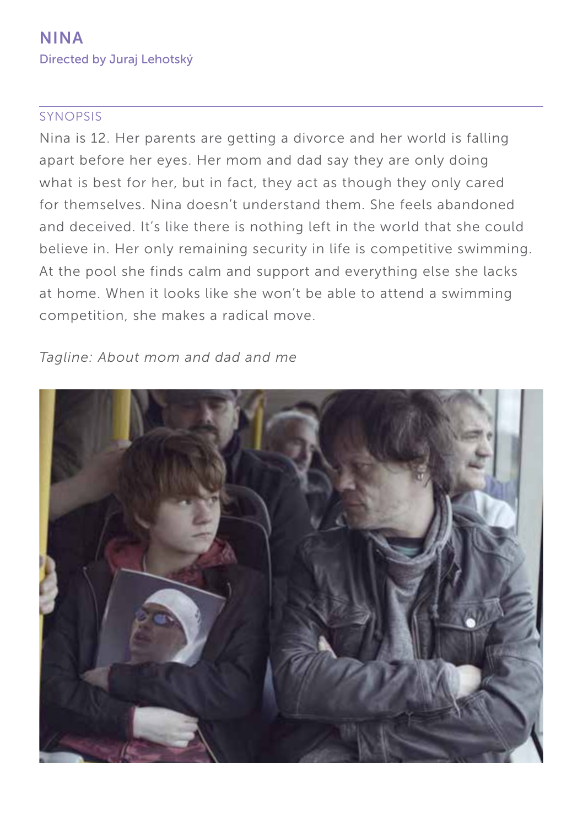### SYNOPSIS

Nina is 12. Her parents are getting a divorce and her world is falling apart before her eyes. Her mom and dad say they are only doing what is best for her, but in fact, they act as though they only cared for themselves. Nina doesn't understand them. She feels abandoned and deceived. It's like there is nothing left in the world that she could believe in. Her only remaining security in life is competitive swimming. At the pool she finds calm and support and everything else she lacks at home. When it looks like she won't be able to attend a swimming competition, she makes a radical move.

*Tagline: About mom and dad and me* 

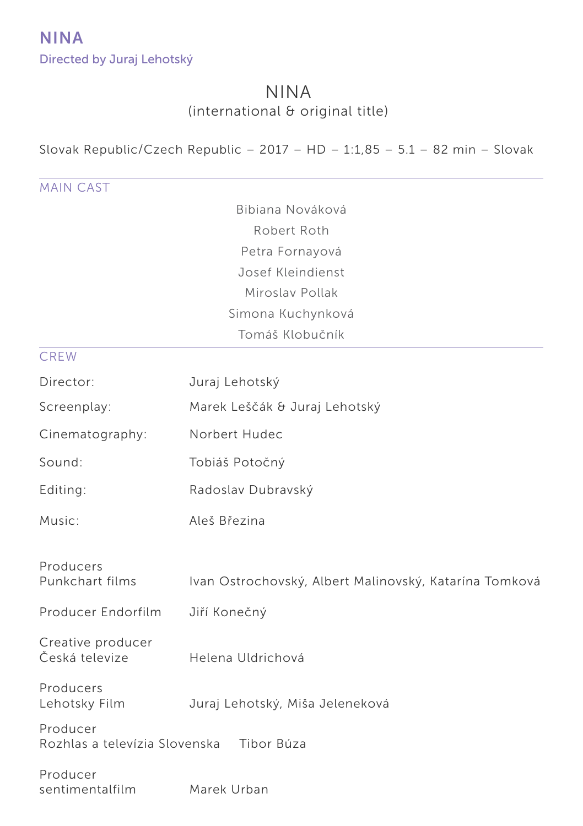# NINA (international & original title)

Slovak Republic/Czech Republic –  $2017 - HD - 1:1,85 - 5.1 - 82$  min – Slovak

MAIN CAST Bibiana Nováková Robert Roth Petra Fornayová Josef Kleindienst Miroslav Pollak Simona Kuchynková Tomáš Klobučník **CREW** Director: Juraj Lehotský Screenplay: Marek Leščák & Juraj Lehotský Cinematography: Norbert Hudec Sound: Tobiáš Potočný Editing: Radoslav Dubravský Music: Aleš Březina Producers Punkchart films Ivan Ostrochovský, Albert Malinovský, Katarína Tomková Producer Endorfilm Jiří Konečný Creative producer Česká televize Helena Uldrichová Producers Lehotsky Film Juraj Lehotský, Miša Jeleneková Producer Rozhlas a televízia Slovenska Tibor Búza Producer sentimentalfilm Marek Urban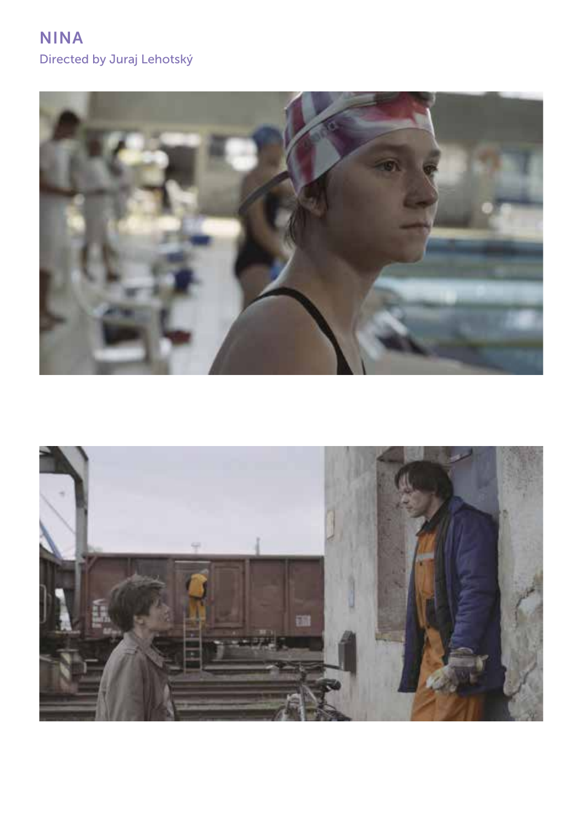

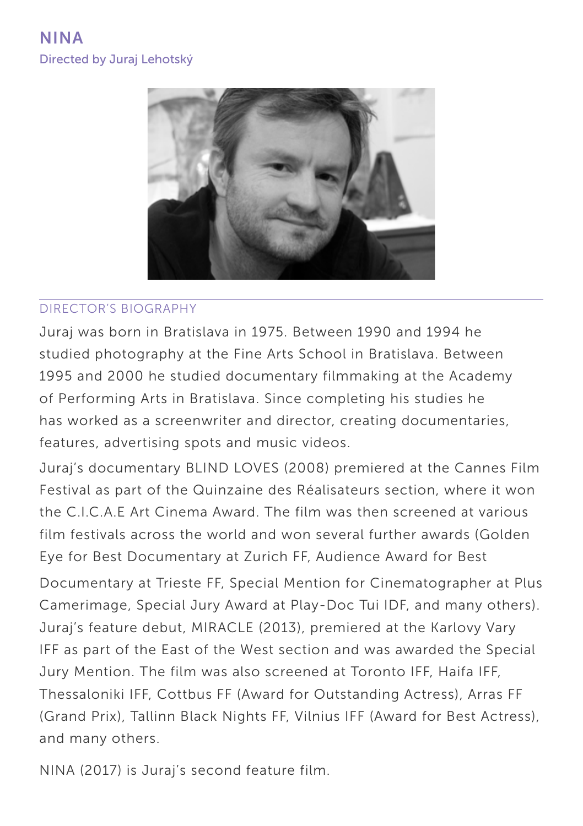

### DIRECTOR'S BIOGRAPHY

Juraj was born in Bratislava in 1975. Between 1990 and 1994 he studied photography at the Fine Arts School in Bratislava. Between 1995 and 2000 he studied documentary filmmaking at the Academy of Performing Arts in Bratislava. Since completing his studies he has worked as a screenwriter and director, creating documentaries, features, advertising spots and music videos.

Juraj's documentary BLIND LOVES (2008) premiered at the Cannes Film Festival as part of the Quinzaine des Réalisateurs section, where it won the C.I.C.A.E Art Cinema Award. The film was then screened at various film festivals across the world and won several further awards (Golden Eye for Best Documentary at Zurich FF, Audience Award for Best

Documentary at Trieste FF, Special Mention for Cinematographer at Plus Camerimage, Special Jury Award at Play-Doc Tui IDF, and many others). Juraj's feature debut, MIRACLE (2013), premiered at the Karlovy Vary IFF as part of the East of the West section and was awarded the Special Jury Mention. The film was also screened at Toronto IFF, Haifa IFF, Thessaloniki IFF, Cottbus FF (Award for Outstanding Actress), Arras FF (Grand Prix), Tallinn Black Nights FF, Vilnius IFF (Award for Best Actress), and many others.

NINA (2017) is Juraj's second feature film.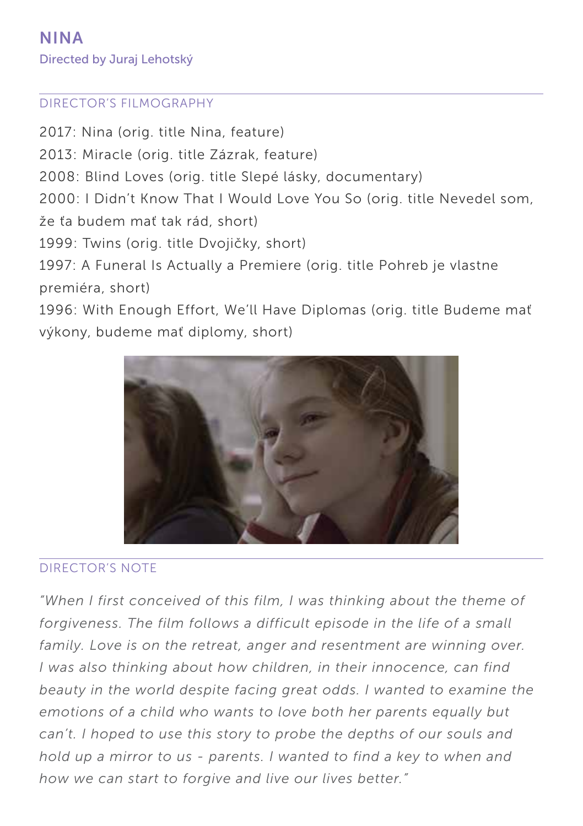### DIRECTOR'S FILMOGRAPHY

2017: Nina (orig. title Nina, feature) 2013: Miracle (orig. title Zázrak, feature) 2008: Blind Loves (orig. title Slepé lásky, documentary) 2000: I Didn't Know That I Would Love You So (orig. title Nevedel som, že ťa budem mať tak rád, short) 1999: Twins (orig. title Dvojičky, short) 1997: A Funeral Is Actually a Premiere (orig. title Pohreb je vlastne premiéra, short) 1996: With Enough Effort, We'll Have Diplomas (orig. title Budeme mať

výkony, budeme mať diplomy, short)



### DIRECTOR'S NOTE

*"When I first conceived of this film, I was thinking about the theme of forgiveness. The film follows a difficult episode in the life of a small*  family. Love is on the retreat, anger and resentment are winning over. *I was also thinking about how children, in their innocence, can find beauty in the world despite facing great odds. I wanted to examine the emotions of a child who wants to love both her parents equally but can't. I hoped to use this story to probe the depths of our souls and hold up a mirror to us - parents. I wanted to find a key to when and how we can start to forgive and live our lives better."*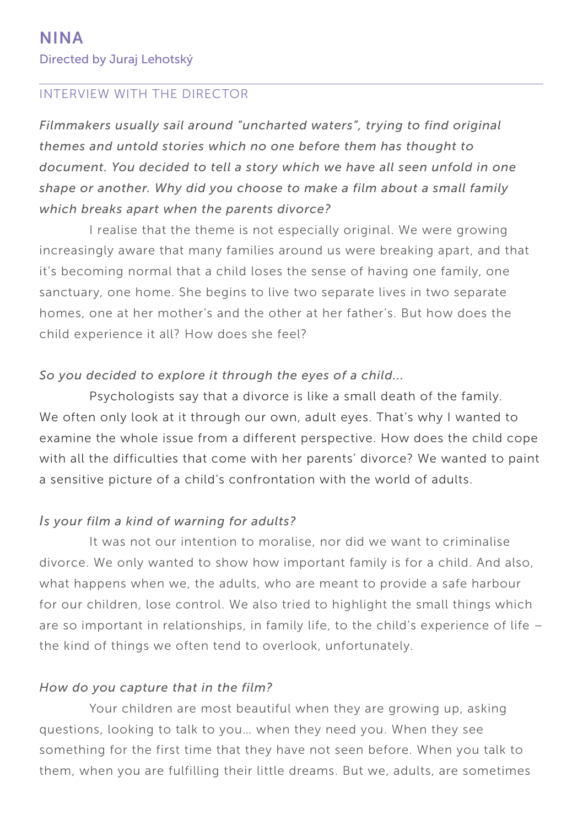### INTERVIEW WITH THE DIRECTOR

*Filmmakers usually sail around "uncharted waters", trying to find original themes and untold stories which no one before them has thought to document. You decided to tell a story which we have all seen unfold in one shape or another. Why did you choose to make a film about a small family which breaks apart when the parents divorce?*

I realise that the theme is not especially original. We were growing increasingly aware that many families around us were breaking apart, and that it's becoming normal that a child loses the sense of having one family, one sanctuary, one home. She begins to live two separate lives in two separate homes, one at her mother's and the other at her father's. But how does the child experience it all? How does she feel?

#### *So you decided to explore it through the eyes of a child...*

Psychologists say that a divorce is like a small death of the family. We often only look at it through our own, adult eyes. That's why I wanted to examine the whole issue from a different perspective. How does the child cope with all the difficulties that come with her parents' divorce? We wanted to paint a sensitive picture of a child's confrontation with the world of adults.

#### *Is your film a kind of warning for adults?*

It was not our intention to moralise, nor did we want to criminalise divorce. We only wanted to show how important family is for a child. And also, what happens when we, the adults, who are meant to provide a safe harbour for our children, lose control. We also tried to highlight the small things which are so important in relationships, in family life, to the child's experience of life – the kind of things we often tend to overlook, unfortunately.

#### *How do you capture that in the film?*

Your children are most beautiful when they are growing up, asking questions, looking to talk to you… when they need you. When they see something for the first time that they have not seen before. When you talk to them, when you are fulfilling their little dreams. But we, adults, are sometimes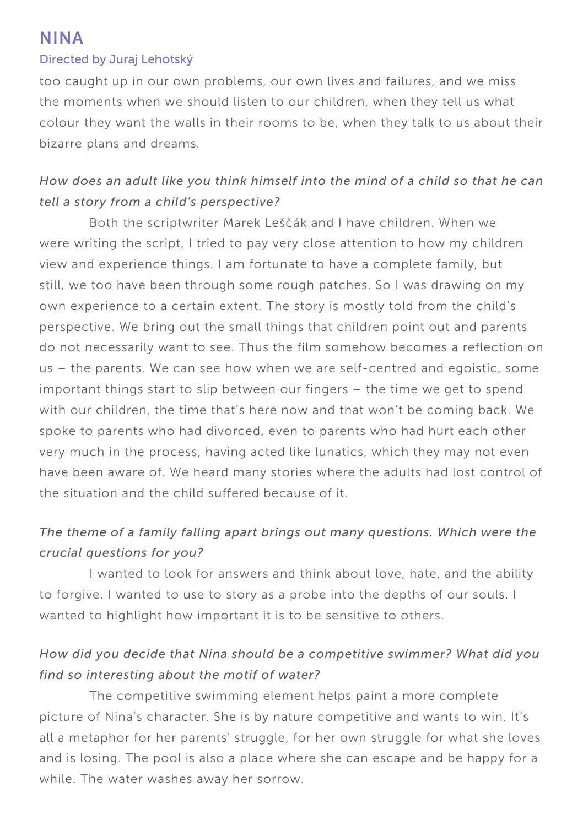# NINA

#### Directed by Juraj Lehotský

too caught up in our own problems, our own lives and failures, and we miss the moments when we should listen to our children, when they tell us what colour they want the walls in their rooms to be, when they talk to us about their bizarre plans and dreams.

## *How does an adult like you think himself into the mind of a child so that he can tell a story from a child's perspective?*

Both the scriptwriter Marek Leščák and I have children. When we were writing the script, I tried to pay very close attention to how my children view and experience things. I am fortunate to have a complete family, but still, we too have been through some rough patches. So I was drawing on my own experience to a certain extent. The story is mostly told from the child's perspective. We bring out the small things that children point out and parents do not necessarily want to see. Thus the film somehow becomes a reflection on us – the parents. We can see how when we are self-centred and egoistic, some important things start to slip between our fingers – the time we get to spend with our children, the time that's here now and that won't be coming back. We spoke to parents who had divorced, even to parents who had hurt each other very much in the process, having acted like lunatics, which they may not even have been aware of. We heard many stories where the adults had lost control of the situation and the child suffered because of it.

## *The theme of a family falling apart brings out many questions. Which were the crucial questions for you?*

I wanted to look for answers and think about love, hate, and the ability to forgive. I wanted to use to story as a probe into the depths of our souls. I wanted to highlight how important it is to be sensitive to others.

## *How did you decide that Nina should be a competitive swimmer? What did you find so interesting about the motif of water?*

The competitive swimming element helps paint a more complete picture of Nina's character. She is by nature competitive and wants to win. It's all a metaphor for her parents' struggle, for her own struggle for what she loves and is losing. The pool is also a place where she can escape and be happy for a while. The water washes away her sorrow.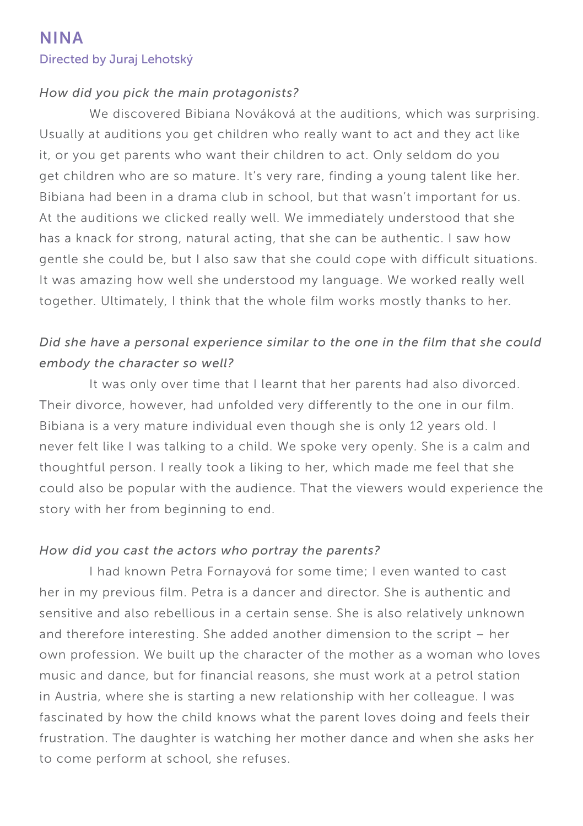#### *How did you pick the main protagonists?*

We discovered Bibiana Nováková at the auditions, which was surprising. Usually at auditions you get children who really want to act and they act like it, or you get parents who want their children to act. Only seldom do you get children who are so mature. It's very rare, finding a young talent like her. Bibiana had been in a drama club in school, but that wasn't important for us. At the auditions we clicked really well. We immediately understood that she has a knack for strong, natural acting, that she can be authentic. I saw how gentle she could be, but I also saw that she could cope with difficult situations. It was amazing how well she understood my language. We worked really well together. Ultimately, I think that the whole film works mostly thanks to her.

## *Did she have a personal experience similar to the one in the film that she could embody the character so well?*

It was only over time that I learnt that her parents had also divorced. Their divorce, however, had unfolded very differently to the one in our film. Bibiana is a very mature individual even though she is only 12 years old. I never felt like I was talking to a child. We spoke very openly. She is a calm and thoughtful person. I really took a liking to her, which made me feel that she could also be popular with the audience. That the viewers would experience the story with her from beginning to end.

#### *How did you cast the actors who portray the parents?*

I had known Petra Fornayová for some time; I even wanted to cast her in my previous film. Petra is a dancer and director. She is authentic and sensitive and also rebellious in a certain sense. She is also relatively unknown and therefore interesting. She added another dimension to the script – her own profession. We built up the character of the mother as a woman who loves music and dance, but for financial reasons, she must work at a petrol station in Austria, where she is starting a new relationship with her colleague. I was fascinated by how the child knows what the parent loves doing and feels their frustration. The daughter is watching her mother dance and when she asks her to come perform at school, she refuses.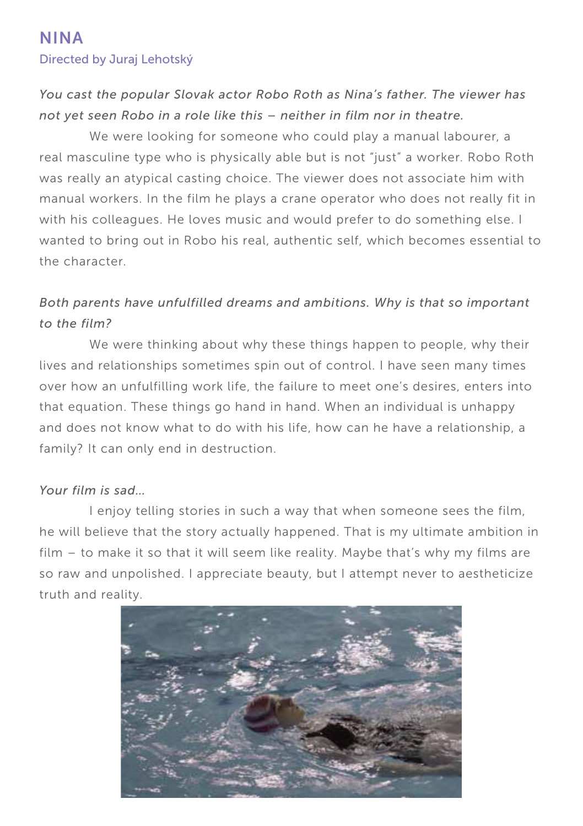## *You cast the popular Slovak actor Robo Roth as Nina's father. The viewer has not yet seen Robo in a role like this – neither in film nor in theatre.*

We were looking for someone who could play a manual labourer, a real masculine type who is physically able but is not "just" a worker. Robo Roth was really an atypical casting choice. The viewer does not associate him with manual workers. In the film he plays a crane operator who does not really fit in with his colleagues. He loves music and would prefer to do something else. I wanted to bring out in Robo his real, authentic self, which becomes essential to the character.

## *Both parents have unfulfilled dreams and ambitions. Why is that so important to the film?*

We were thinking about why these things happen to people, why their lives and relationships sometimes spin out of control. I have seen many times over how an unfulfilling work life, the failure to meet one's desires, enters into that equation. These things go hand in hand. When an individual is unhappy and does not know what to do with his life, how can he have a relationship, a family? It can only end in destruction.

### *Your film is sad…*

I enjoy telling stories in such a way that when someone sees the film, he will believe that the story actually happened. That is my ultimate ambition in film – to make it so that it will seem like reality. Maybe that's why my films are so raw and unpolished. I appreciate beauty, but I attempt never to aestheticize truth and reality.

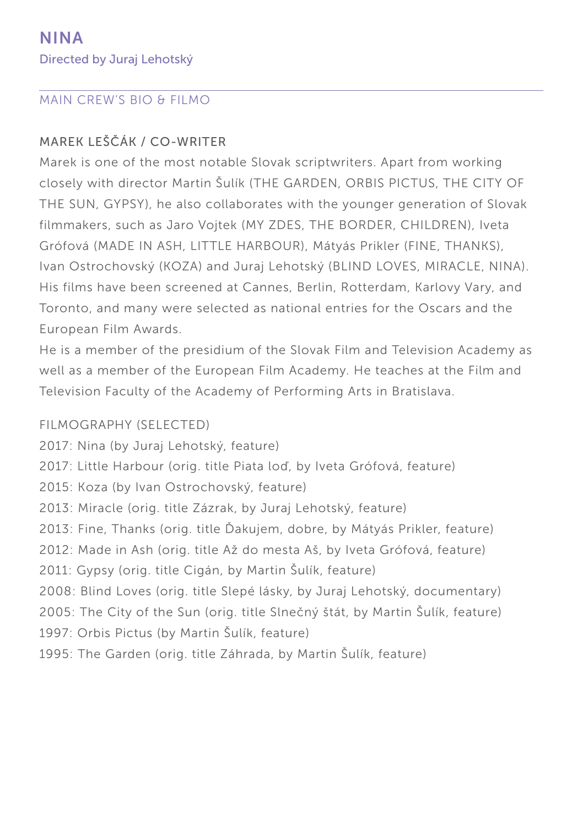### MAIN CREW'S BIO & FILMO

### MAREK LEŠČÁK / CO-WRITER

Marek is one of the most notable Slovak scriptwriters. Apart from working closely with director Martin Šulík (THE GARDEN, ORBIS PICTUS, THE CITY OF THE SUN, GYPSY), he also collaborates with the younger generation of Slovak filmmakers, such as Jaro Vojtek (MY ZDES, THE BORDER, CHILDREN), Iveta Grófová (MADE IN ASH, LITTLE HARBOUR), Mátyás Prikler (FINE, THANKS), Ivan Ostrochovský (KOZA) and Juraj Lehotský (BLIND LOVES, MIRACLE, NINA). His films have been screened at Cannes, Berlin, Rotterdam, Karlovy Vary, and Toronto, and many were selected as national entries for the Oscars and the European Film Awards.

He is a member of the presidium of the Slovak Film and Television Academy as well as a member of the European Film Academy. He teaches at the Film and Television Faculty of the Academy of Performing Arts in Bratislava.

### FILMOGRAPHY (SELECTED)

2017: Nina (by Juraj Lehotský, feature) 2017: Little Harbour (orig. title Piata loď, by Iveta Grófová, feature) 2015: Koza (by Ivan Ostrochovský, feature) 2013: Miracle (orig. title Zázrak, by Juraj Lehotský, feature) 2013: Fine, Thanks (orig. title Ďakujem, dobre, by Mátyás Prikler, feature) 2012: Made in Ash (orig. title Až do mesta Aš, by Iveta Grófová, feature) 2011: Gypsy (orig. title Cigán, by Martin Šulík, feature) 2008: Blind Loves (orig. title Slepé lásky, by Juraj Lehotský, documentary) 2005: The City of the Sun (orig. title Slnečný štát, by Martin Šulík, feature) 1997: Orbis Pictus (by Martin Šulík, feature) 1995: The Garden (orig. title Záhrada, by Martin Šulík, feature)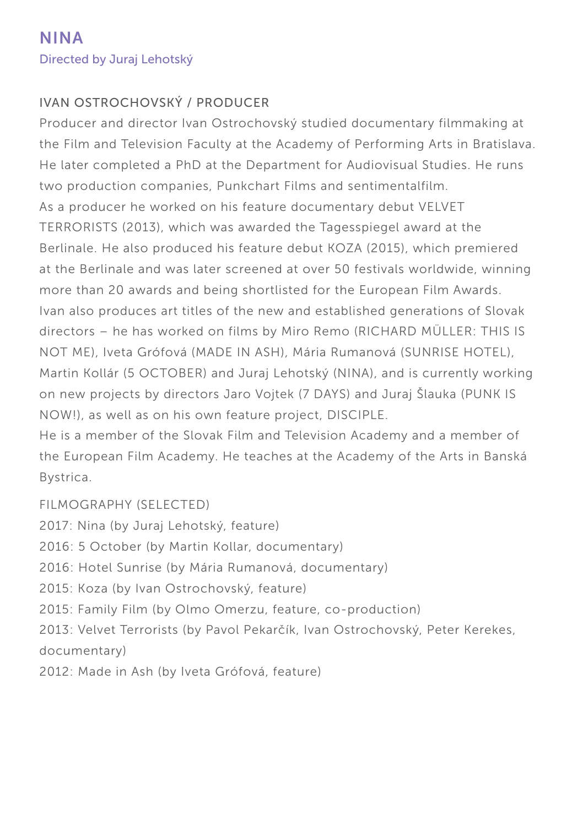### IVAN OSTROCHOVSKÝ / PRODUCER

Producer and director Ivan Ostrochovský studied documentary filmmaking at the Film and Television Faculty at the Academy of Performing Arts in Bratislava. He later completed a PhD at the Department for Audiovisual Studies. He runs two production companies, Punkchart Films and sentimentalfilm. As a producer he worked on his feature documentary debut VELVET TERRORISTS (2013), which was awarded the Tagesspiegel award at the Berlinale. He also produced his feature debut KOZA (2015), which premiered at the Berlinale and was later screened at over 50 festivals worldwide, winning more than 20 awards and being shortlisted for the European Film Awards. Ivan also produces art titles of the new and established generations of Slovak directors – he has worked on films by Miro Remo (RICHARD MÜLLER: THIS IS NOT ME), Iveta Grófová (MADE IN ASH), Mária Rumanová (SUNRISE HOTEL), Martin Kollár (5 OCTOBER) and Juraj Lehotský (NINA), and is currently working on new projects by directors Jaro Vojtek (7 DAYS) and Juraj Šlauka (PUNK IS NOW!), as well as on his own feature project, DISCIPLE.

He is a member of the Slovak Film and Television Academy and a member of the European Film Academy. He teaches at the Academy of the Arts in Banská Bystrica.

FILMOGRAPHY (SELECTED)

2017: Nina (by Juraj Lehotský, feature) 2016: 5 October (by Martin Kollar, documentary) 2016: Hotel Sunrise (by Mária Rumanová, documentary) 2015: Koza (by Ivan Ostrochovský, feature) 2015: Family Film (by Olmo Omerzu, feature, co-production) 2013: Velvet Terrorists (by Pavol Pekarčík, Ivan Ostrochovský, Peter Kerekes, documentary) 2012: Made in Ash (by Iveta Grófová, feature)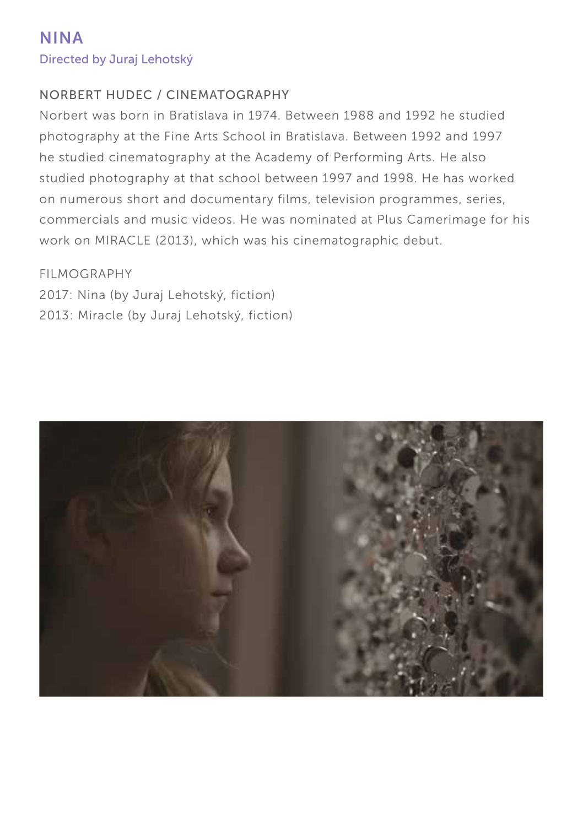### NORBERT HUDEC / CINEMATOGRAPHY

Norbert was born in Bratislava in 1974. Between 1988 and 1992 he studied photography at the Fine Arts School in Bratislava. Between 1992 and 1997 he studied cinematography at the Academy of Performing Arts. He also studied photography at that school between 1997 and 1998. He has worked on numerous short and documentary films, television programmes, series, commercials and music videos. He was nominated at Plus Camerimage for his work on MIRACLE (2013), which was his cinematographic debut.

#### FILMOGRAPHY

2017: Nina (by Juraj Lehotský, fiction) 2013: Miracle (by Juraj Lehotský, fiction)